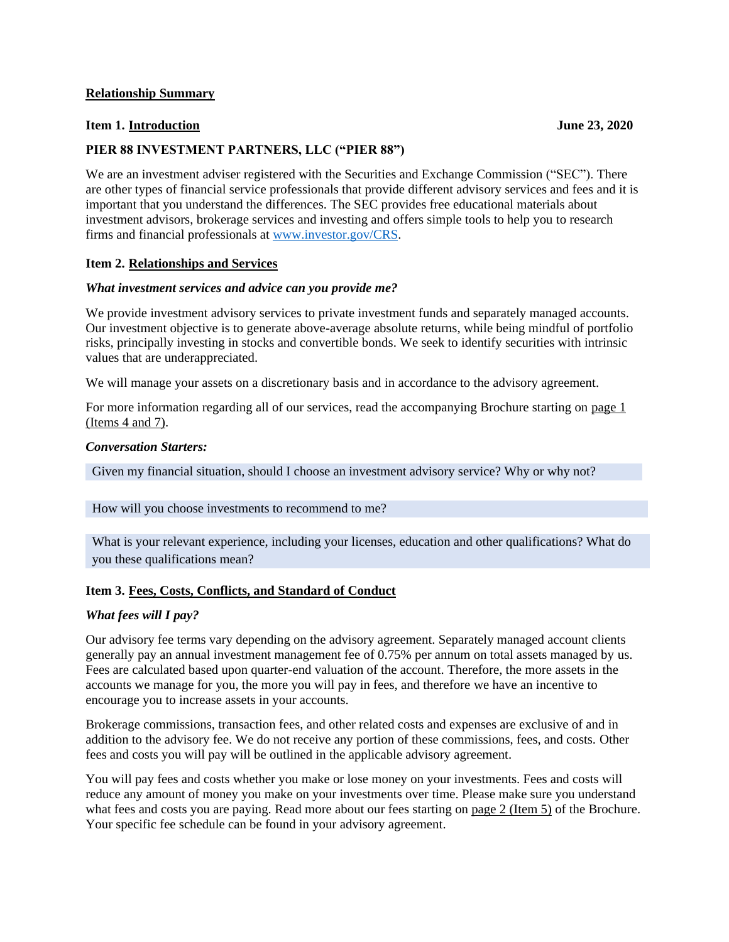#### **Relationship Summary**

# **Item 1. Introduction June 23, 2020**

# **PIER 88 INVESTMENT PARTNERS, LLC ("PIER 88")**

We are an investment adviser registered with the Securities and Exchange Commission ("SEC"). There are other types of financial service professionals that provide different advisory services and fees and it is important that you understand the differences. The SEC provides free educational materials about investment advisors, brokerage services and investing and offers simple tools to help you to research firms and financial professionals at [www.investor.gov/CRS.](https://www.investor.gov/CRS)

### **Item 2. Relationships and Services**

#### *What investment services and advice can you provide me?*

We provide investment advisory services to private investment funds and separately managed accounts. Our investment objective is to generate above-average absolute returns, while being mindful of portfolio risks, principally investing in stocks and convertible bonds. We seek to identify securities with intrinsic values that are underappreciated.

We will manage your assets on a discretionary basis and in accordance to the advisory agreement.

For more information regarding all of our services, read the accompanying Brochure starting on page 1 (Items 4 and 7).

### *Conversation Starters:*

Given my financial situation, should I choose an investment advisory service? Why or why not?

#### How will you choose investments to recommend to me?

What is your relevant experience, including your licenses, education and other qualifications? What do you these qualifications mean?

## **Item 3. Fees, Costs, Conflicts, and Standard of Conduct**

#### *What fees will I pay?*

Our advisory fee terms vary depending on the advisory agreement. Separately managed account clients generally pay an annual investment management fee of 0.75% per annum on total assets managed by us. Fees are calculated based upon quarter-end valuation of the account. Therefore, the more assets in the accounts we manage for you, the more you will pay in fees, and therefore we have an incentive to encourage you to increase assets in your accounts.

Brokerage commissions, transaction fees, and other related costs and expenses are exclusive of and in addition to the advisory fee. We do not receive any portion of these commissions, fees, and costs. Other fees and costs you will pay will be outlined in the applicable advisory agreement.

You will pay fees and costs whether you make or lose money on your investments. Fees and costs will reduce any amount of money you make on your investments over time. Please make sure you understand what fees and costs you are paying. Read more about our fees starting on page 2 (Item 5) of the Brochure. Your specific fee schedule can be found in your advisory agreement.